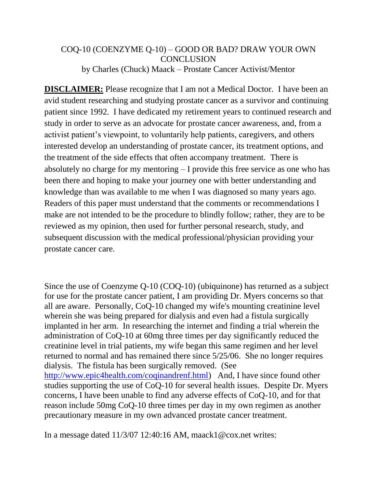## COQ-10 (COENZYME Q-10) – GOOD OR BAD? DRAW YOUR OWN **CONCLUSION** by Charles (Chuck) Maack – Prostate Cancer Activist/Mentor

**DISCLAIMER:** Please recognize that I am not a Medical Doctor. I have been an avid student researching and studying prostate cancer as a survivor and continuing patient since 1992. I have dedicated my retirement years to continued research and study in order to serve as an advocate for prostate cancer awareness, and, from a activist patient's viewpoint, to voluntarily help patients, caregivers, and others interested develop an understanding of prostate cancer, its treatment options, and the treatment of the side effects that often accompany treatment. There is absolutely no charge for my mentoring – I provide this free service as one who has been there and hoping to make your journey one with better understanding and knowledge than was available to me when I was diagnosed so many years ago. Readers of this paper must understand that the comments or recommendations I make are not intended to be the procedure to blindly follow; rather, they are to be reviewed as my opinion, then used for further personal research, study, and subsequent discussion with the medical professional/physician providing your prostate cancer care.

Since the use of Coenzyme Q-10 (COQ-10) (ubiquinone) has returned as a subject for use for the prostate cancer patient, I am providing Dr. Myers concerns so that all are aware. Personally, CoQ-10 changed my wife's mounting creatinine level wherein she was being prepared for dialysis and even had a fistula surgically implanted in her arm. In researching the internet and finding a trial wherein the administration of CoQ-10 at 60mg three times per day significantly reduced the creatinine level in trial patients, my wife began this same regimen and her level returned to normal and has remained there since 5/25/06. She no longer requires dialysis. The fistula has been surgically removed. (See [http://www.epic4health.com/coqinandrenf.html\)](http://www.epic4health.com/coqinandrenf.html) And, I have since found other studies supporting the use of CoQ-10 for several health issues. Despite Dr. Myers concerns, I have been unable to find any adverse effects of CoQ-10, and for that reason include 50mg CoQ-10 three times per day in my own regimen as another precautionary measure in my own advanced prostate cancer treatment.

In a message dated 11/3/07 12:40:16 AM, maack1@cox.net writes: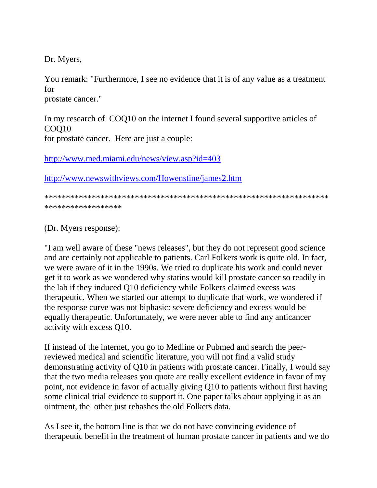Dr. Myers,

You remark: "Furthermore, I see no evidence that it is of any value as a treatment for prostate cancer."

In my research of COQ10 on the internet I found several supportive articles of COQ10 for prostate cancer. Here are just a couple:

<http://www.med.miami.edu/news/view.asp?id=403>

<http://www.newswithviews.com/Howenstine/james2.htm>

\*\*\*\*\*\*\*\*\*\*\*\*\*\*\*\*\*\*\*\*\*\*\*\*\*\*\*\*\*\*\*\*\*\*\*\*\*\*\*\*\*\*\*\*\*\*\*\*\*\*\*\*\*\*\*\*\*\*\*\*\*\*\*\*\*\* \*\*\*\*\*\*\*\*\*\*\*\*\*\*\*\*\*\*

(Dr. Myers response):

"I am well aware of these "news releases", but they do not represent good science and are certainly not applicable to patients. Carl Folkers work is quite old. In fact, we were aware of it in the 1990s. We tried to duplicate his work and could never get it to work as we wondered why statins would kill prostate cancer so readily in the lab if they induced Q10 deficiency while Folkers claimed excess was therapeutic. When we started our attempt to duplicate that work, we wondered if the response curve was not biphasic: severe deficiency and excess would be equally therapeutic. Unfortunately, we were never able to find any anticancer activity with excess Q10.

If instead of the internet, you go to Medline or Pubmed and search the peerreviewed medical and scientific literature, you will not find a valid study demonstrating activity of Q10 in patients with prostate cancer. Finally, I would say that the two media releases you quote are really excellent evidence in favor of my point, not evidence in favor of actually giving Q10 to patients without first having some clinical trial evidence to support it. One paper talks about applying it as an ointment, the other just rehashes the old Folkers data.

As I see it, the bottom line is that we do not have convincing evidence of therapeutic benefit in the treatment of human prostate cancer in patients and we do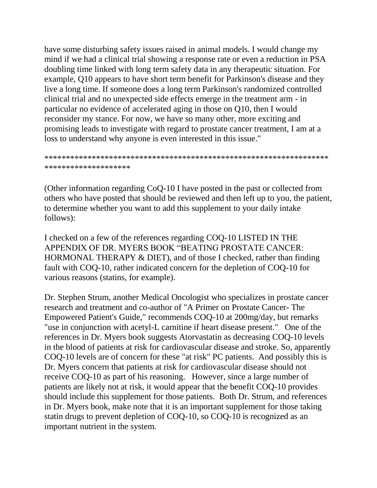have some disturbing safety issues raised in animal models. I would change my mind if we had a clinical trial showing a response rate or even a reduction in PSA doubling time linked with long term safety data in any therapeutic situation. For example, Q10 appears to have short term benefit for Parkinson's disease and they live a long time. If someone does a long term Parkinson's randomized controlled clinical trial and no unexpected side effects emerge in the treatment arm - in particular no evidence of accelerated aging in those on Q10, then I would reconsider my stance. For now, we have so many other, more exciting and promising leads to investigate with regard to prostate cancer treatment, I am at a loss to understand why anyone is even interested in this issue."

```
******************************************************************
********************
```
(Other information regarding CoQ-10 I have posted in the past or collected from others who have posted that should be reviewed and then left up to you, the patient, to determine whether you want to add this supplement to your daily intake follows):

I checked on a few of the references regarding COQ-10 LISTED IN THE APPENDIX OF DR. MYERS BOOK "BEATING PROSTATE CANCER: HORMONAL THERAPY & DIET), and of those I checked, rather than finding fault with COQ-10, rather indicated concern for the depletion of COQ-10 for various reasons (statins, for example).

Dr. Stephen Strum, another Medical Oncologist who specializes in prostate cancer research and treatment and co-author of "A Primer on Prostate Cancer- The Empowered Patient's Guide," recommends COQ-10 at 200mg/day, but remarks "use in conjunction with acetyl-L carnitine if heart disease present." One of the references in Dr. Myers book suggests Atorvastatin as decreasing COQ-10 levels in the blood of patients at risk for cardiovascular disease and stroke. So, apparently COQ-10 levels are of concern for these "at risk" PC patients. And possibly this is Dr. Myers concern that patients at risk for cardiovascular disease should not receive COQ-10 as part of his reasoning. However, since a large number of patients are likely not at risk, it would appear that the benefit COQ-10 provides should include this supplement for those patients. Both Dr. Strum, and references in Dr. Myers book, make note that it is an important supplement for those taking statin drugs to prevent depletion of COQ-10, so COQ-10 is recognized as an important nutrient in the system.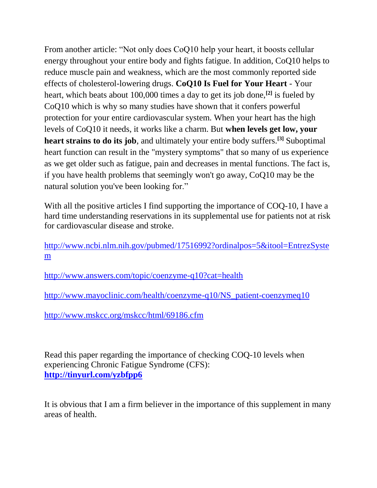From another article: "Not only does CoQ10 help your heart, it boosts cellular energy throughout your entire body and fights fatigue. In addition, CoQ10 helps to reduce muscle pain and weakness, which are the most commonly reported side effects of cholesterol-lowering drugs. **CoQ10 Is Fuel for Your Heart** - Your heart, which beats about 100,000 times a day to get its job done,**[2]** is fueled by CoQ10 which is why so many studies have shown that it confers powerful protection for your entire cardiovascular system. When your heart has the high levels of CoQ10 it needs, it works like a charm. But **when levels get low, your heart strains to do its job**, and ultimately your entire body suffers.**[3]** Suboptimal heart function can result in the "mystery symptoms" that so many of us experience as we get older such as fatigue, pain and decreases in mental functions. The fact is, if you have health problems that seemingly won't go away, CoQ10 may be the natural solution you've been looking for."

With all the positive articles I find supporting the importance of COQ-10, I have a hard time understanding reservations in its supplemental use for patients not at risk for cardiovascular disease and stroke.

[http://www.ncbi.nlm.nih.gov/pubmed/17516992?ordinalpos=5&itool=EntrezSyste](http://www.ncbi.nlm.nih.gov/pubmed/17516992?ordinalpos=5&itool=EntrezSystem) [m](http://www.ncbi.nlm.nih.gov/pubmed/17516992?ordinalpos=5&itool=EntrezSystem)

<http://www.answers.com/topic/coenzyme-q10?cat=health>

[http://www.mayoclinic.com/health/coenzyme-q10/NS\\_patient-coenzymeq10](http://www.mayoclinic.com/health/coenzyme-q10/NS_patient-coenzymeq10)

<http://www.mskcc.org/mskcc/html/69186.cfm>

Read this paper regarding the importance of checking COQ-10 levels when experiencing Chronic Fatigue Syndrome (CFS): **<http://tinyurl.com/yzbfpp6>**

It is obvious that I am a firm believer in the importance of this supplement in many areas of health.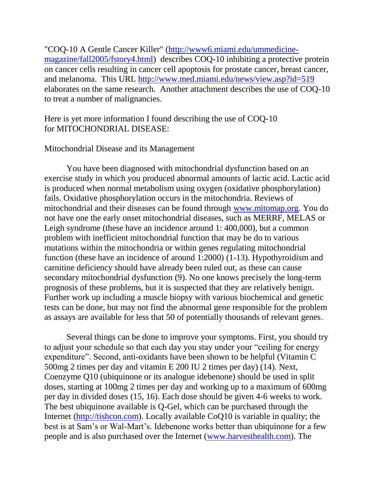"COQ-10 A Gentle Cancer Killer" [\(http://www6.miami.edu/ummedicine](http://www6.miami.edu/ummedicine-magazine/fall2005/fstory4.html)[magazine/fall2005/fstory4.html\)](http://www6.miami.edu/ummedicine-magazine/fall2005/fstory4.html) describes COQ-10 inhibiting a protective protein on cancer cells resulting in cancer cell apoptosis for prostate cancer, breast cancer, and melanoma. This URL<http://www.med.miami.edu/news/view.asp?id=519> elaborates on the same research. Another attachment describes the use of COQ-10 to treat a number of malignancies.

Here is yet more information I found describing the use of COQ-10 for MITOCHONDRIAL DISEASE:

## Mitochondrial Disease and its Management

You have been diagnosed with mitochondrial dysfunction based on an exercise study in which you produced abnormal amounts of lactic acid. Lactic acid is produced when normal metabolism using oxygen (oxidative phosphorylation) fails. Oxidative phosphorylation occurs in the mitochondria. Reviews of mitochondrial and their diseases can be found through [www.mitomap.org.](http://www.mitomap.org/) You do not have one the early onset mitochondrial diseases, such as MERRF, MELAS or Leigh syndrome (these have an incidence around 1: 400,000), but a common problem with inefficient mitochondrial function that may be do to various mutations within the mitochondria or within genes regulating mitochondrial function (these have an incidence of around 1:2000) (1-13). Hypothyroidism and carnitine deficiency should have already been ruled out, as these can cause secondary mitochondrial dysfunction (9). No one knows precisely the long-term prognosis of these problems, but it is suspected that they are relatively benign. Further work up including a muscle biopsy with various biochemical and genetic tests can be done, but may not find the abnormal gene responsible for the problem as assays are available for less that 50 of potentially thousands of relevant genes.

Several things can be done to improve your symptoms. First, you should try to adjust your schedule so that each day you stay under your "ceiling for energy expenditure". Second, anti-oxidants have been shown to be helpful (Vitamin C 500mg 2 times per day and vitamin E 200 IU 2 times per day) (14). Next, Coenzyme Q10 (ubiquinone or its analogue idebenone) should be used in split doses, starting at 100mg 2 times per day and working up to a maximum of 600mg per day in divided doses (15, 16). Each dose should be given 4-6 weeks to work. The best ubiquinone available is Q-Gel, which can be purchased through the Internet [\(http://tishcon.com\)](http://tishcon.com/). Locally available CoQ10 is variable in quality; the best is at Sam's or Wal-Mart's. Idebenone works better than ubiquinone for a few people and is also purchased over the Internet [\(www.harvesthealth.com\)](http://www.harvesthealth.com/). The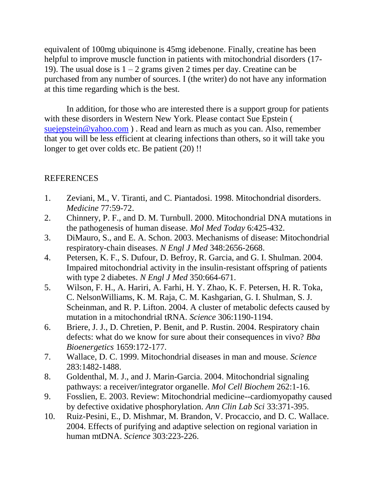equivalent of 100mg ubiquinone is 45mg idebenone. Finally, creatine has been helpful to improve muscle function in patients with mitochondrial disorders (17-19). The usual dose is  $1 - 2$  grams given 2 times per day. Creatine can be purchased from any number of sources. I (the writer) do not have any information at this time regarding which is the best.

In addition, for those who are interested there is a support group for patients with these disorders in Western New York. Please contact Sue Epstein ( [suejepstein@yahoo.com](mailto:suejepstein@yahoo.com)). Read and learn as much as you can. Also, remember that you will be less efficient at clearing infections than others, so it will take you longer to get over colds etc. Be patient (20) !!

## REFERENCES

- 1. Zeviani, M., V. Tiranti, and C. Piantadosi. 1998. Mitochondrial disorders. *Medicine* 77:59-72.
- 2. Chinnery, P. F., and D. M. Turnbull. 2000. Mitochondrial DNA mutations in the pathogenesis of human disease. *Mol Med Today* 6:425-432.
- 3. DiMauro, S., and E. A. Schon. 2003. Mechanisms of disease: Mitochondrial respiratory-chain diseases. *N Engl J Med* 348:2656-2668.
- 4. Petersen, K. F., S. Dufour, D. Befroy, R. Garcia, and G. I. Shulman. 2004. Impaired mitochondrial activity in the insulin-resistant offspring of patients with type 2 diabetes. *N Engl J Med* 350:664-671.
- 5. Wilson, F. H., A. Hariri, A. Farhi, H. Y. Zhao, K. F. Petersen, H. R. Toka, C. NelsonWilliams, K. M. Raja, C. M. Kashgarian, G. I. Shulman, S. J. Scheinman, and R. P. Lifton. 2004. A cluster of metabolic defects caused by mutation in a mitochondrial tRNA. *Science* 306:1190-1194.
- 6. Briere, J. J., D. Chretien, P. Benit, and P. Rustin. 2004. Respiratory chain defects: what do we know for sure about their consequences in vivo? *Bba Bioenergetics* 1659:172-177.
- 7. Wallace, D. C. 1999. Mitochondrial diseases in man and mouse. *Science*  283:1482-1488.
- 8. Goldenthal, M. J., and J. Marin-Garcia. 2004. Mitochondrial signaling pathways: a receiver/integrator organelle. *Mol Cell Biochem* 262:1-16.
- 9. Fosslien, E. 2003. Review: Mitochondrial medicine--cardiomyopathy caused by defective oxidative phosphorylation. *Ann Clin Lab Sci* 33:371-395.
- 10. Ruiz-Pesini, E., D. Mishmar, M. Brandon, V. Procaccio, and D. C. Wallace. 2004. Effects of purifying and adaptive selection on regional variation in human mtDNA. *Science* 303:223-226.